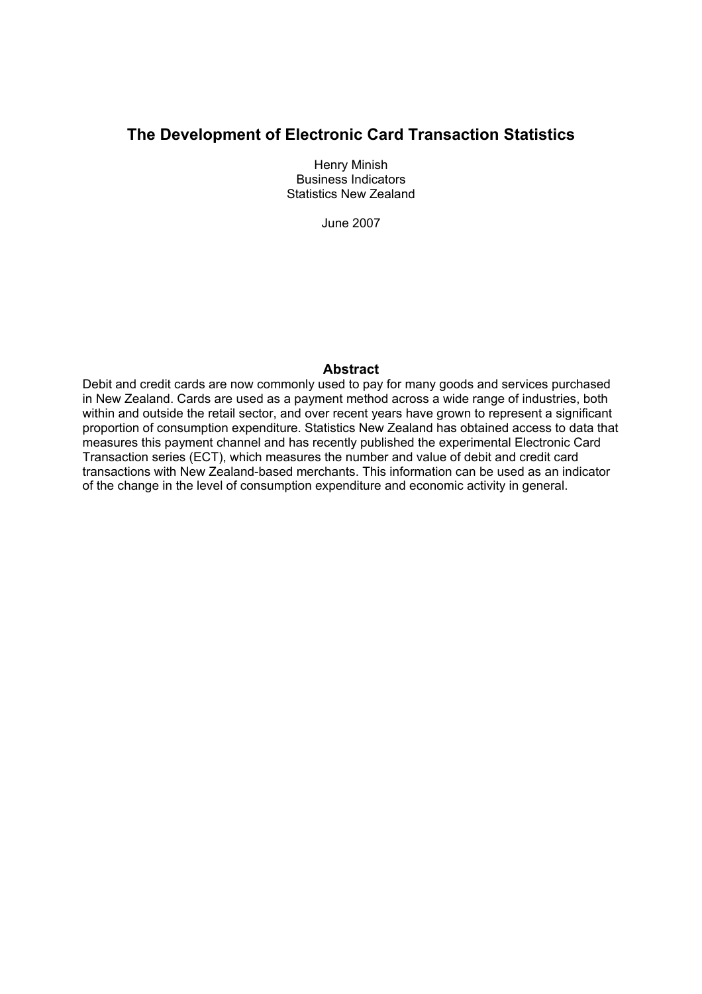# **The Development of Electronic Card Transaction Statistics**

Henry Minish Business Indicators Statistics New Zealand

June 2007

### **Abstract**

Debit and credit cards are now commonly used to pay for many goods and services purchased in New Zealand. Cards are used as a payment method across a wide range of industries, both within and outside the retail sector, and over recent years have grown to represent a significant proportion of consumption expenditure. Statistics New Zealand has obtained access to data that measures this payment channel and has recently published the experimental Electronic Card Transaction series (ECT), which measures the number and value of debit and credit card transactions with New Zealand-based merchants. This information can be used as an indicator of the change in the level of consumption expenditure and economic activity in general.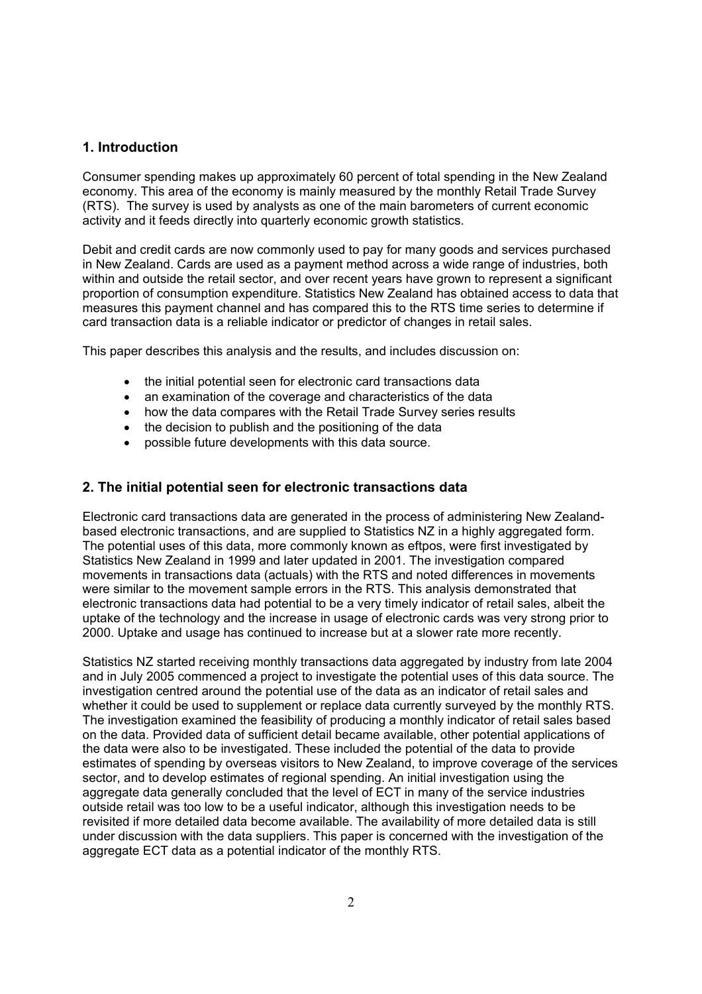# **1. Introduction**

Consumer spending makes up approximately 60 percent of total spending in the New Zealand economy. This area of the economy is mainly measured by the monthly Retail Trade Survey (RTS). The survey is used by analysts as one of the main barometers of current economic activity and it feeds directly into quarterly economic growth statistics.

Debit and credit cards are now commonly used to pay for many goods and services purchased in New Zealand. Cards are used as a payment method across a wide range of industries, both within and outside the retail sector, and over recent years have grown to represent a significant proportion of consumption expenditure. Statistics New Zealand has obtained access to data that measures this payment channel and has compared this to the RTS time series to determine if card transaction data is a reliable indicator or predictor of changes in retail sales.

This paper describes this analysis and the results, and includes discussion on:

- the initial potential seen for electronic card transactions data
- an examination of the coverage and characteristics of the data
- how the data compares with the Retail Trade Survey series results
- the decision to publish and the positioning of the data
- possible future developments with this data source.

# **2. The initial potential seen for electronic transactions data**

Electronic card transactions data are generated in the process of administering New Zealandbased electronic transactions, and are supplied to Statistics NZ in a highly aggregated form. The potential uses of this data, more commonly known as eftpos, were first investigated by Statistics New Zealand in 1999 and later updated in 2001. The investigation compared movements in transactions data (actuals) with the RTS and noted differences in movements were similar to the movement sample errors in the RTS. This analysis demonstrated that electronic transactions data had potential to be a very timely indicator of retail sales, albeit the uptake of the technology and the increase in usage of electronic cards was very strong prior to 2000. Uptake and usage has continued to increase but at a slower rate more recently.

Statistics NZ started receiving monthly transactions data aggregated by industry from late 2004 and in July 2005 commenced a project to investigate the potential uses of this data source. The investigation centred around the potential use of the data as an indicator of retail sales and whether it could be used to supplement or replace data currently surveyed by the monthly RTS. The investigation examined the feasibility of producing a monthly indicator of retail sales based on the data. Provided data of sufficient detail became available, other potential applications of the data were also to be investigated. These included the potential of the data to provide estimates of spending by overseas visitors to New Zealand, to improve coverage of the services sector, and to develop estimates of regional spending. An initial investigation using the aggregate data generally concluded that the level of ECT in many of the service industries outside retail was too low to be a useful indicator, although this investigation needs to be revisited if more detailed data become available. The availability of more detailed data is still under discussion with the data suppliers. This paper is concerned with the investigation of the aggregate ECT data as a potential indicator of the monthly RTS.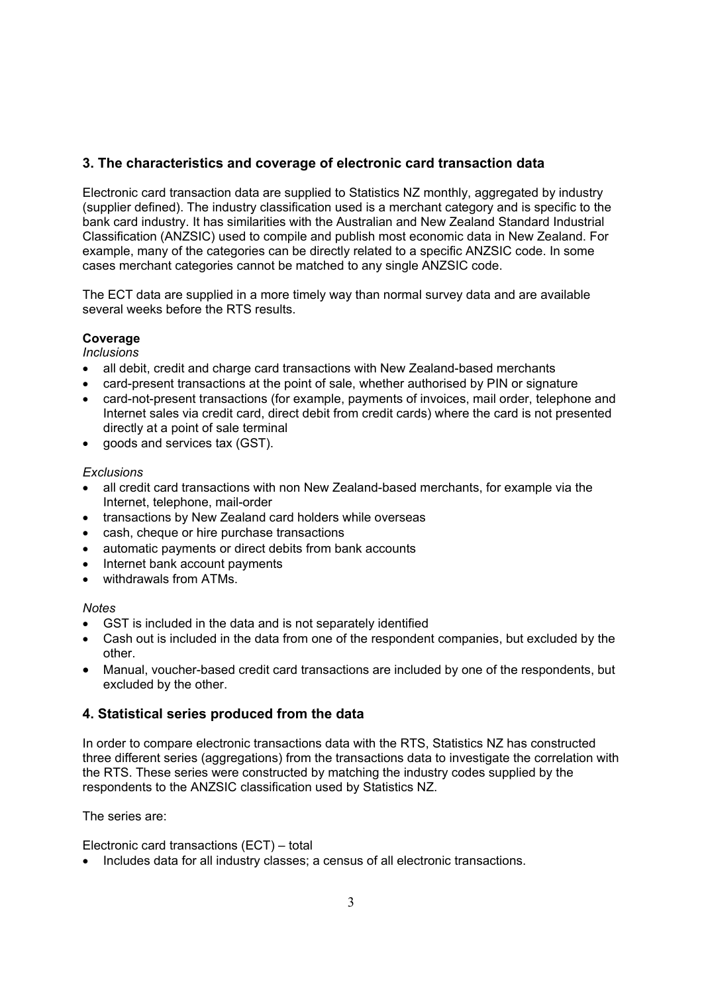# **3. The characteristics and coverage of electronic card transaction data**

Electronic card transaction data are supplied to Statistics NZ monthly, aggregated by industry (supplier defined). The industry classification used is a merchant category and is specific to the bank card industry. It has similarities with the Australian and New Zealand Standard Industrial Classification (ANZSIC) used to compile and publish most economic data in New Zealand. For example, many of the categories can be directly related to a specific ANZSIC code. In some cases merchant categories cannot be matched to any single ANZSIC code.

The ECT data are supplied in a more timely way than normal survey data and are available several weeks before the RTS results.

# **Coverage**

*Inclusions* 

- all debit, credit and charge card transactions with New Zealand-based merchants
- card-present transactions at the point of sale, whether authorised by PIN or signature
- card-not-present transactions (for example, payments of invoices, mail order, telephone and Internet sales via credit card, direct debit from credit cards) where the card is not presented directly at a point of sale terminal
- goods and services tax (GST).

### *Exclusions*

- all credit card transactions with non New Zealand-based merchants, for example via the Internet, telephone, mail-order
- transactions by New Zealand card holders while overseas
- cash, cheque or hire purchase transactions
- automatic payments or direct debits from bank accounts
- Internet bank account payments
- withdrawals from ATMs.

#### *Notes*

- GST is included in the data and is not separately identified
- Cash out is included in the data from one of the respondent companies, but excluded by the other.
- Manual, voucher-based credit card transactions are included by one of the respondents, but excluded by the other.

# **4. Statistical series produced from the data**

In order to compare electronic transactions data with the RTS, Statistics NZ has constructed three different series (aggregations) from the transactions data to investigate the correlation with the RTS. These series were constructed by matching the industry codes supplied by the respondents to the ANZSIC classification used by Statistics NZ.

The series are:

Electronic card transactions (ECT) – total

• Includes data for all industry classes; a census of all electronic transactions.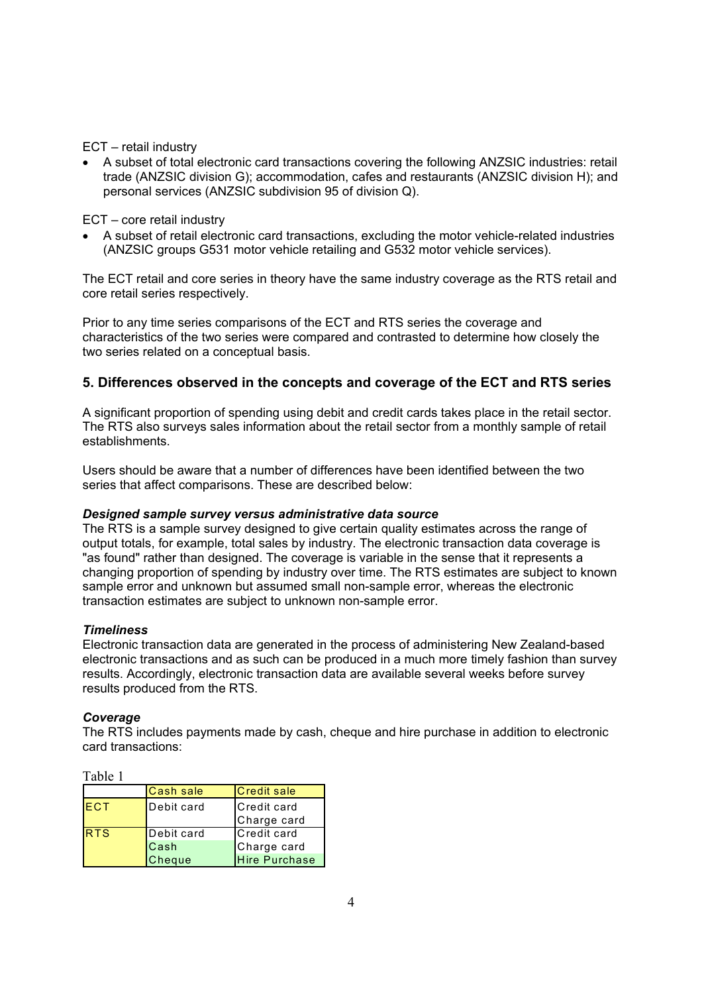ECT – retail industry

• A subset of total electronic card transactions covering the following ANZSIC industries: retail trade (ANZSIC division G); accommodation, cafes and restaurants (ANZSIC division H); and personal services (ANZSIC subdivision 95 of division Q).

ECT – core retail industry

• A subset of retail electronic card transactions, excluding the motor vehicle-related industries (ANZSIC groups G531 motor vehicle retailing and G532 motor vehicle services).

The ECT retail and core series in theory have the same industry coverage as the RTS retail and core retail series respectively.

Prior to any time series comparisons of the ECT and RTS series the coverage and characteristics of the two series were compared and contrasted to determine how closely the two series related on a conceptual basis.

# **5. Differences observed in the concepts and coverage of the ECT and RTS series**

A significant proportion of spending using debit and credit cards takes place in the retail sector. The RTS also surveys sales information about the retail sector from a monthly sample of retail establishments.

Users should be aware that a number of differences have been identified between the two series that affect comparisons. These are described below:

#### *Designed sample survey versus administrative data source*

The RTS is a sample survey designed to give certain quality estimates across the range of output totals, for example, total sales by industry. The electronic transaction data coverage is "as found" rather than designed. The coverage is variable in the sense that it represents a changing proportion of spending by industry over time. The RTS estimates are subject to known sample error and unknown but assumed small non-sample error, whereas the electronic transaction estimates are subject to unknown non-sample error.

#### *Timeliness*

Electronic transaction data are generated in the process of administering New Zealand-based electronic transactions and as such can be produced in a much more timely fashion than survey results. Accordingly, electronic transaction data are available several weeks before survey results produced from the RTS.

#### *Coverage*

The RTS includes payments made by cash, cheque and hire purchase in addition to electronic card transactions:

Table 1

|            | <b>Cash sale</b> | <b>Credit sale</b>         |
|------------|------------------|----------------------------|
| <b>ECT</b> | Debit card       | Credit card<br>Charge card |
| <b>RTS</b> | Debit card       | Credit card                |
|            | <b>Cash</b>      | Charge card                |
|            | Cheque           | <b>Hire Purchase</b>       |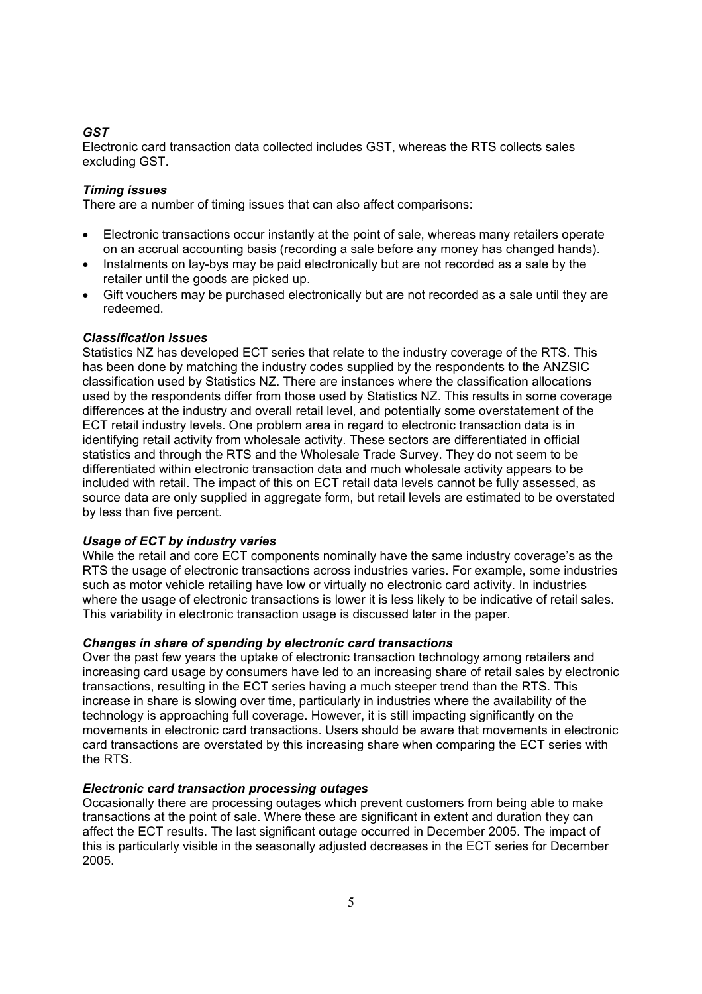# *GST*

Electronic card transaction data collected includes GST, whereas the RTS collects sales excluding GST.

### *Timing issues*

There are a number of timing issues that can also affect comparisons:

- Electronic transactions occur instantly at the point of sale, whereas many retailers operate on an accrual accounting basis (recording a sale before any money has changed hands).
- Instalments on lay-bys may be paid electronically but are not recorded as a sale by the retailer until the goods are picked up.
- Gift vouchers may be purchased electronically but are not recorded as a sale until they are redeemed.

#### *Classification issues*

Statistics NZ has developed ECT series that relate to the industry coverage of the RTS. This has been done by matching the industry codes supplied by the respondents to the ANZSIC classification used by Statistics NZ. There are instances where the classification allocations used by the respondents differ from those used by Statistics NZ. This results in some coverage differences at the industry and overall retail level, and potentially some overstatement of the ECT retail industry levels. One problem area in regard to electronic transaction data is in identifying retail activity from wholesale activity. These sectors are differentiated in official statistics and through the RTS and the Wholesale Trade Survey. They do not seem to be differentiated within electronic transaction data and much wholesale activity appears to be included with retail. The impact of this on ECT retail data levels cannot be fully assessed, as source data are only supplied in aggregate form, but retail levels are estimated to be overstated by less than five percent.

#### *Usage of ECT by industry varies*

While the retail and core ECT components nominally have the same industry coverage's as the RTS the usage of electronic transactions across industries varies. For example, some industries such as motor vehicle retailing have low or virtually no electronic card activity. In industries where the usage of electronic transactions is lower it is less likely to be indicative of retail sales. This variability in electronic transaction usage is discussed later in the paper.

#### *Changes in share of spending by electronic card transactions*

Over the past few years the uptake of electronic transaction technology among retailers and increasing card usage by consumers have led to an increasing share of retail sales by electronic transactions, resulting in the ECT series having a much steeper trend than the RTS. This increase in share is slowing over time, particularly in industries where the availability of the technology is approaching full coverage. However, it is still impacting significantly on the movements in electronic card transactions. Users should be aware that movements in electronic card transactions are overstated by this increasing share when comparing the ECT series with the RTS.

#### *Electronic card transaction processing outages*

Occasionally there are processing outages which prevent customers from being able to make transactions at the point of sale. Where these are significant in extent and duration they can affect the ECT results. The last significant outage occurred in December 2005. The impact of this is particularly visible in the seasonally adjusted decreases in the ECT series for December 2005.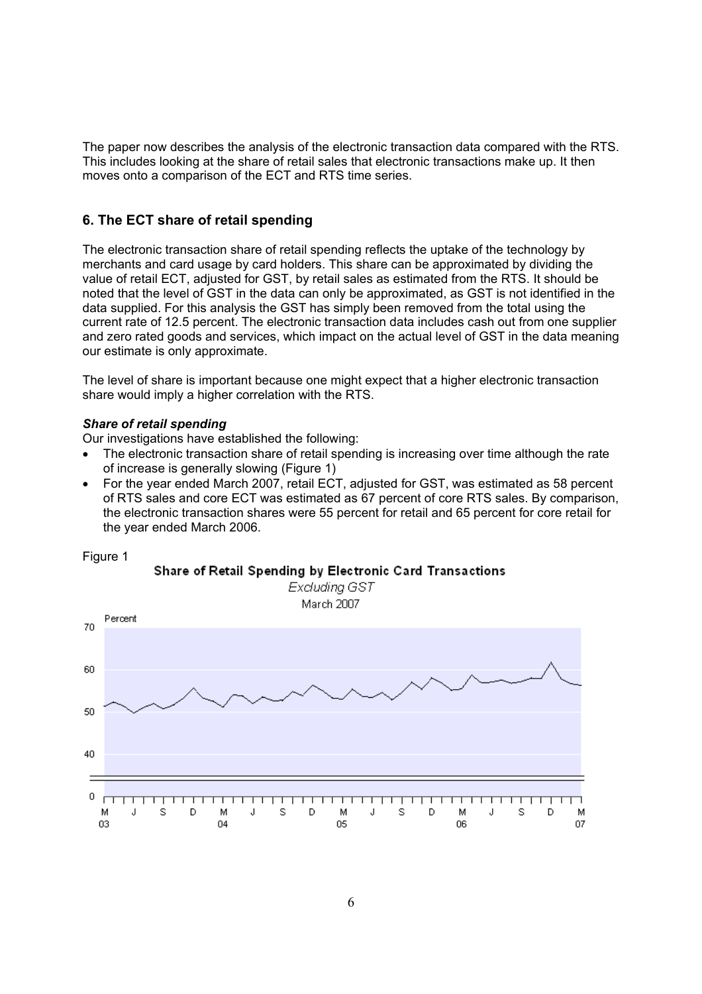The paper now describes the analysis of the electronic transaction data compared with the RTS. This includes looking at the share of retail sales that electronic transactions make up. It then moves onto a comparison of the ECT and RTS time series.

# **6. The ECT share of retail spending**

The electronic transaction share of retail spending reflects the uptake of the technology by merchants and card usage by card holders. This share can be approximated by dividing the value of retail ECT, adjusted for GST, by retail sales as estimated from the RTS. It should be noted that the level of GST in the data can only be approximated, as GST is not identified in the data supplied. For this analysis the GST has simply been removed from the total using the current rate of 12.5 percent. The electronic transaction data includes cash out from one supplier and zero rated goods and services, which impact on the actual level of GST in the data meaning our estimate is only approximate.

The level of share is important because one might expect that a higher electronic transaction share would imply a higher correlation with the RTS.

#### *Share of retail spending*

Figure 1

Our investigations have established the following:

- The electronic transaction share of retail spending is increasing over time although the rate of increase is generally slowing (Figure 1)
- For the year ended March 2007, retail ECT, adjusted for GST, was estimated as 58 percent of RTS sales and core ECT was estimated as 67 percent of core RTS sales. By comparison, the electronic transaction shares were 55 percent for retail and 65 percent for core retail for the year ended March 2006.

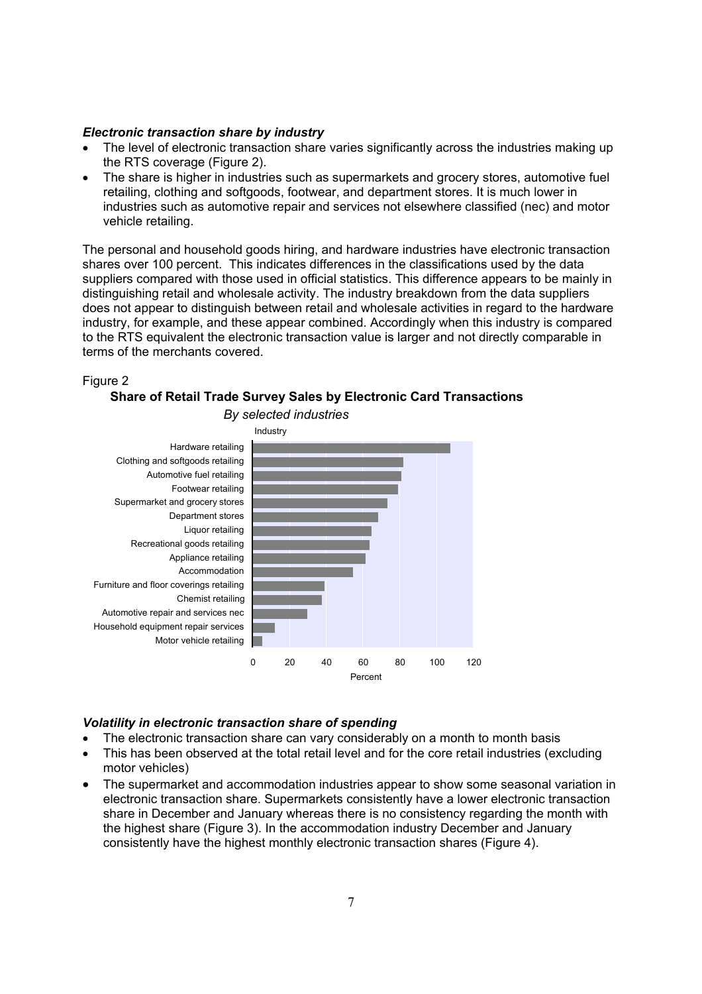#### *Electronic transaction share by industry*

- The level of electronic transaction share varies significantly across the industries making up the RTS coverage (Figure 2).
- The share is higher in industries such as supermarkets and grocery stores, automotive fuel retailing, clothing and softgoods, footwear, and department stores. It is much lower in industries such as automotive repair and services not elsewhere classified (nec) and motor vehicle retailing.

The personal and household goods hiring, and hardware industries have electronic transaction shares over 100 percent. This indicates differences in the classifications used by the data suppliers compared with those used in official statistics. This difference appears to be mainly in distinguishing retail and wholesale activity. The industry breakdown from the data suppliers does not appear to distinguish between retail and wholesale activities in regard to the hardware industry, for example, and these appear combined. Accordingly when this industry is compared to the RTS equivalent the electronic transaction value is larger and not directly comparable in terms of the merchants covered.



#### **Share of Retail Trade Survey Sales by Electronic Card Transactions**



#### *Volatility in electronic transaction share of spending*

- The electronic transaction share can vary considerably on a month to month basis
- This has been observed at the total retail level and for the core retail industries (excluding motor vehicles)
- The supermarket and accommodation industries appear to show some seasonal variation in electronic transaction share. Supermarkets consistently have a lower electronic transaction share in December and January whereas there is no consistency regarding the month with the highest share (Figure 3). In the accommodation industry December and January consistently have the highest monthly electronic transaction shares (Figure 4).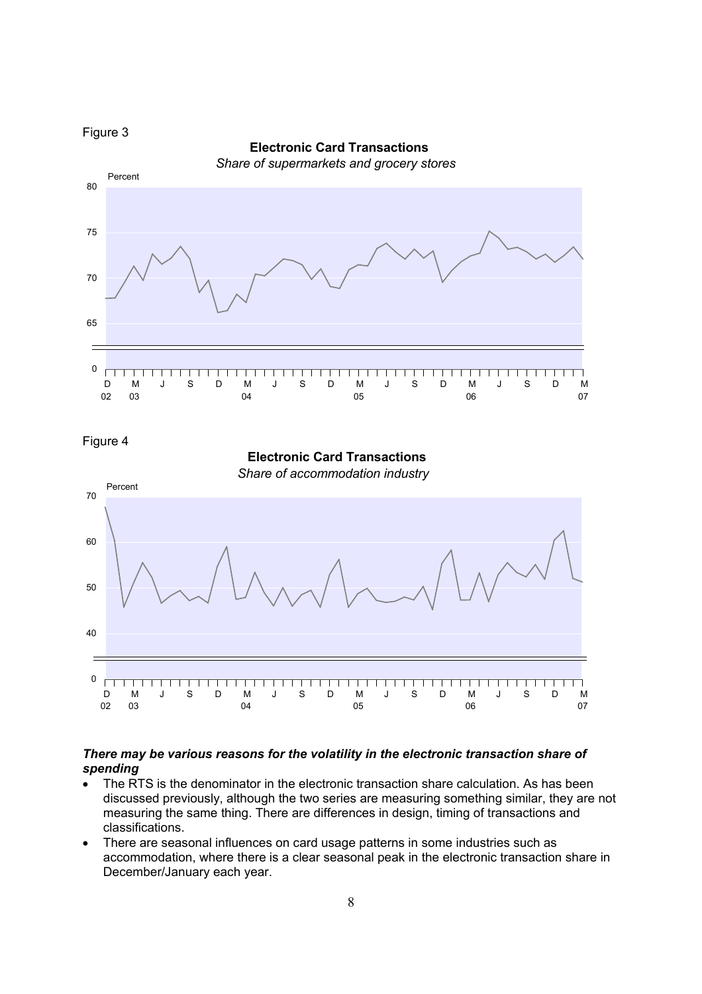

 **Electronic Card Transactions** *Share of supermarkets and grocery stores* Percent 80 75 70 65 0  $\Box$ \_\_\_\_\_\_\_\_\_\_\_\_\_\_\_\_  $\overline{\textbf{1}}$ ┱  $\overline{\phantom{0}}$ ┑ D M J S D M J S D M J S D M J S D M 02 07 03  $04$  $05$ 06

Figure 4



#### *There may be various reasons for the volatility in the electronic transaction share of spending*

- The RTS is the denominator in the electronic transaction share calculation. As has been discussed previously, although the two series are measuring something similar, they are not measuring the same thing. There are differences in design, timing of transactions and classifications.
- There are seasonal influences on card usage patterns in some industries such as accommodation, where there is a clear seasonal peak in the electronic transaction share in December/January each year.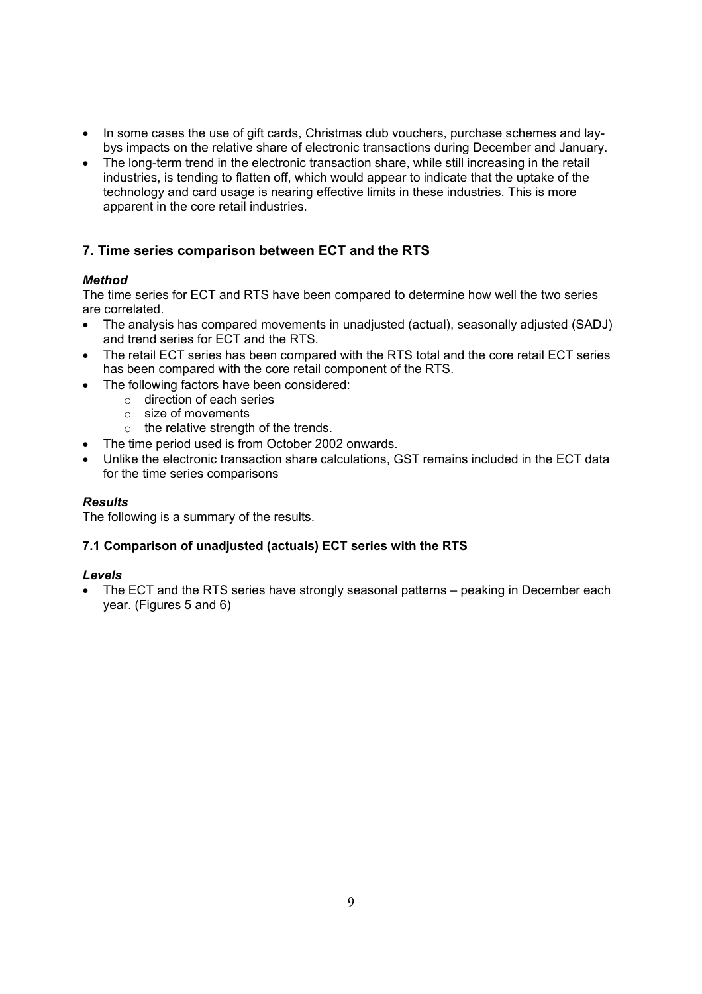- In some cases the use of gift cards, Christmas club vouchers, purchase schemes and laybys impacts on the relative share of electronic transactions during December and January.
- The long-term trend in the electronic transaction share, while still increasing in the retail industries, is tending to flatten off, which would appear to indicate that the uptake of the technology and card usage is nearing effective limits in these industries. This is more apparent in the core retail industries.

# **7. Time series comparison between ECT and the RTS**

# *Method*

The time series for ECT and RTS have been compared to determine how well the two series are correlated.

- The analysis has compared movements in unadjusted (actual), seasonally adjusted (SADJ) and trend series for ECT and the RTS.
- The retail ECT series has been compared with the RTS total and the core retail ECT series has been compared with the core retail component of the RTS.
- The following factors have been considered:
	- o direction of each series
	- o size of movements
	- $\circ$  the relative strength of the trends.
- The time period used is from October 2002 onwards.
- Unlike the electronic transaction share calculations, GST remains included in the ECT data for the time series comparisons

## *Results*

The following is a summary of the results.

# **7.1 Comparison of unadjusted (actuals) ECT series with the RTS**

#### *Levels*

• The ECT and the RTS series have strongly seasonal patterns – peaking in December each year. (Figures 5 and 6)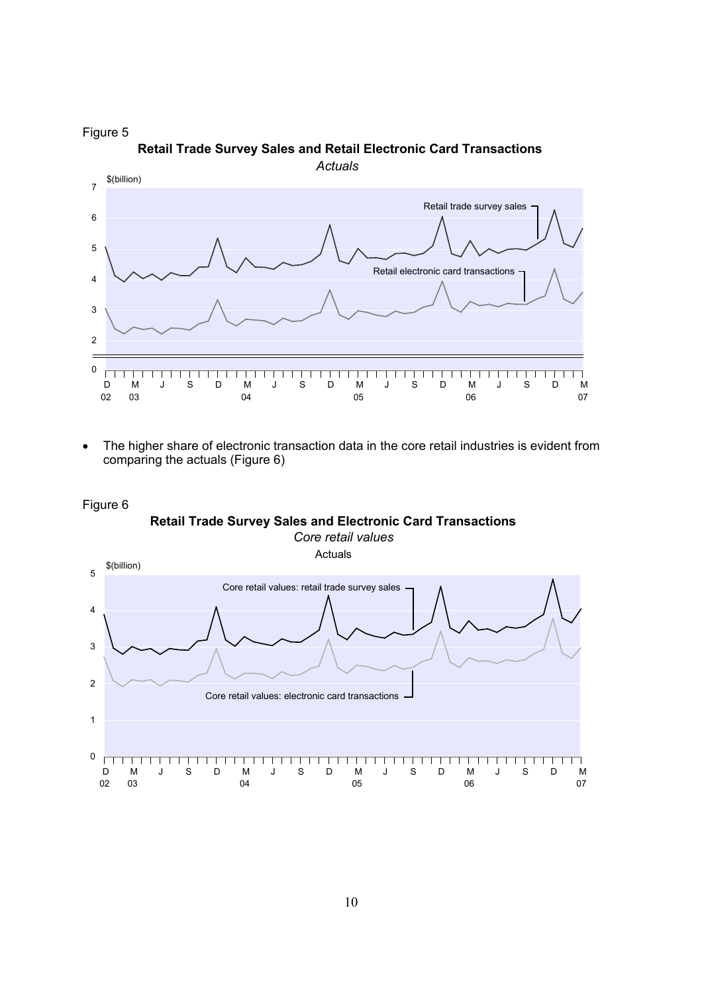



• The higher share of electronic transaction data in the core retail industries is evident from comparing the actuals (Figure 6)

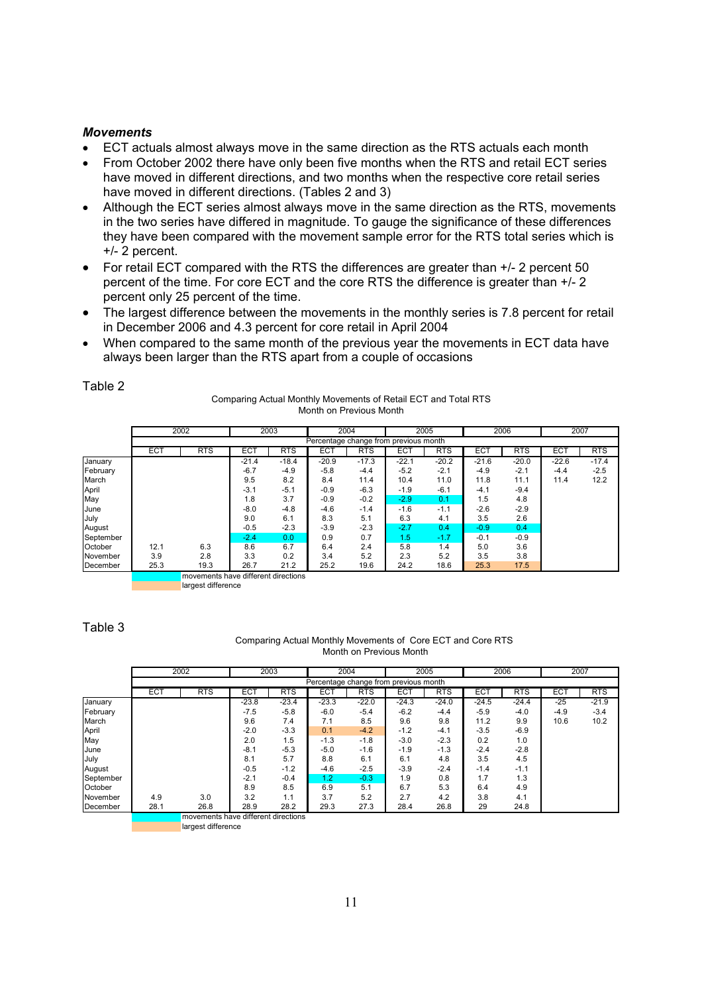#### *Movements*

- ECT actuals almost always move in the same direction as the RTS actuals each month
- From October 2002 there have only been five months when the RTS and retail ECT series have moved in different directions, and two months when the respective core retail series have moved in different directions. (Tables 2 and 3)
- Although the ECT series almost always move in the same direction as the RTS, movements in the two series have differed in magnitude. To gauge the significance of these differences they have been compared with the movement sample error for the RTS total series which is +/- 2 percent.
- For retail ECT compared with the RTS the differences are greater than  $+/-2$  percent 50 percent of the time. For core ECT and the core RTS the difference is greater than +/- 2 percent only 25 percent of the time.
- The largest difference between the movements in the monthly series is 7.8 percent for retail in December 2006 and 4.3 percent for core retail in April 2004
- When compared to the same month of the previous year the movements in ECT data have always been larger than the RTS apart from a couple of occasions

|           | 2002       |                                     |            | 2003       | 2004       |            | 2005                                  |            | 2006       |            | 2007       |            |
|-----------|------------|-------------------------------------|------------|------------|------------|------------|---------------------------------------|------------|------------|------------|------------|------------|
|           |            |                                     |            |            |            |            | Percentage change from previous month |            |            |            |            |            |
|           | <b>ECT</b> | <b>RTS</b>                          | <b>ECT</b> | <b>RTS</b> | <b>ECT</b> | <b>RTS</b> | <b>ECT</b>                            | <b>RTS</b> | <b>ECT</b> | <b>RTS</b> | <b>ECT</b> | <b>RTS</b> |
| January   |            |                                     | $-21.4$    | $-18.4$    | $-20.9$    | $-17.3$    | $-22.1$                               | $-20.2$    | $-21.6$    | $-20.0$    | $-22.6$    | $-17.4$    |
| February  |            |                                     | $-6.7$     | $-4.9$     | $-5.8$     | $-4.4$     | $-5.2$                                | $-2.1$     | $-4.9$     | $-2.1$     | $-4.4$     | $-2.5$     |
| March     |            |                                     | 9.5        | 8.2        | 8.4        | 11.4       | 10.4                                  | 11.0       | 11.8       | 11.1       | 11.4       | 12.2       |
| April     |            |                                     | $-3.1$     | $-5.1$     | $-0.9$     | $-6.3$     | $-1.9$                                | $-6.1$     | $-4.1$     | $-9.4$     |            |            |
| May       |            |                                     | 1.8        | 3.7        | $-0.9$     | $-0.2$     | $-2.9$                                | 0.1        | 1.5        | 4.8        |            |            |
| June      |            |                                     | $-8.0$     | $-4.8$     | $-4.6$     | $-1.4$     | $-1.6$                                | $-1.1$     | $-2.6$     | $-2.9$     |            |            |
| July      |            |                                     | 9.0        | 6.1        | 8.3        | 5.1        | 6.3                                   | 4.1        | 3.5        | 2.6        |            |            |
| August    |            |                                     | $-0.5$     | $-2.3$     | $-3.9$     | $-2.3$     | $-2.7$                                | 0.4        | $-0.9$     | 0.4        |            |            |
| September |            |                                     | $-2.4$     | 0.0        | 0.9        | 0.7        | 1.5                                   | $-1.7$     | $-0.1$     | $-0.9$     |            |            |
| October   | 12.1       | 6.3                                 | 8.6        | 6.7        | 6.4        | 2.4        | 5.8                                   | 1.4        | 5.0        | 3.6        |            |            |
| November  | 3.9        | 2.8                                 | 3.3        | 0.2        | 3.4        | 5.2        | 2.3                                   | 5.2        | 3.5        | 3.8        |            |            |
| December  | 25.3       | 19.3                                | 26.7       | 21.2       | 25.2       | 19.6       | 24.2                                  | 18.6       | 25.3       | 17.5       |            |            |
|           |            | movements have different directions |            |            |            |            |                                       |            |            |            |            |            |

Table 2

|      | Month on Previous Month |      |  |
|------|-------------------------|------|--|
| 2003 | 2004                    | 2005 |  |

Comparing Actual Monthly Movements of Retail ECT and Total RTS

Table 3

#### Comparing Actual Monthly Movements of Core ECT and Core RTS Month on Previous Month

|           | 2002       |                                     |            | 2003       | 2004       |            | 2005                                  |            | 2006       |            | 2007       |            |
|-----------|------------|-------------------------------------|------------|------------|------------|------------|---------------------------------------|------------|------------|------------|------------|------------|
|           |            |                                     |            |            |            |            | Percentage change from previous month |            |            |            |            |            |
|           | <b>ECT</b> | <b>RTS</b>                          | <b>ECT</b> | <b>RTS</b> | <b>ECT</b> | <b>RTS</b> | <b>ECT</b>                            | <b>RTS</b> | <b>ECT</b> | <b>RTS</b> | <b>ECT</b> | <b>RTS</b> |
| January   |            |                                     | $-23.8$    | $-23.4$    | $-23.3$    | $-22.0$    | $-24.3$                               | $-24.0$    | $-24.5$    | $-24.4$    | $-25$      | $-21.9$    |
| February  |            |                                     | $-7.5$     | $-5.8$     | $-6.0$     | $-5.4$     | $-6.2$                                | $-4.4$     | $-5.9$     | $-4.0$     | $-4.9$     | $-3.4$     |
| March     |            |                                     | 9.6        | 7.4        | 7.1        | 8.5        | 9.6                                   | 9.8        | 11.2       | 9.9        | 10.6       | 10.2       |
| April     |            |                                     | $-2.0$     | $-3.3$     | 0.1        | $-4.2$     | $-1.2$                                | $-4.1$     | $-3.5$     | $-6.9$     |            |            |
| May       |            |                                     | 2.0        | 1.5        | $-1.3$     | $-1.8$     | $-3.0$                                | $-2.3$     | 0.2        | 1.0        |            |            |
| June      |            |                                     | $-8.1$     | $-5.3$     | $-5.0$     | $-1.6$     | $-1.9$                                | $-1.3$     | $-2.4$     | $-2.8$     |            |            |
| July      |            |                                     | 8.1        | 5.7        | 8.8        | 6.1        | 6.1                                   | 4.8        | 3.5        | 4.5        |            |            |
| August    |            |                                     | $-0.5$     | $-1.2$     | $-4.6$     | $-2.5$     | $-3.9$                                | $-2.4$     | $-1.4$     | $-1.1$     |            |            |
| September |            |                                     | $-2.1$     | $-0.4$     | 1.2        | $-0.3$     | 1.9                                   | 0.8        | 1.7        | 1.3        |            |            |
| October   |            |                                     | 8.9        | 8.5        | 6.9        | 5.1        | 6.7                                   | 5.3        | 6.4        | 4.9        |            |            |
| November  | 4.9        | 3.0                                 | 3.2        | 1.1        | 3.7        | 5.2        | 2.7                                   | 4.2        | 3.8        | 4.1        |            |            |
| December  | 28.1       | 26.8                                | 28.9       | 28.2       | 29.3       | 27.3       | 28.4                                  | 26.8       | 29         | 24.8       |            |            |
|           |            | movements have different directions |            |            |            |            |                                       |            |            |            |            |            |

largest difference

largest difference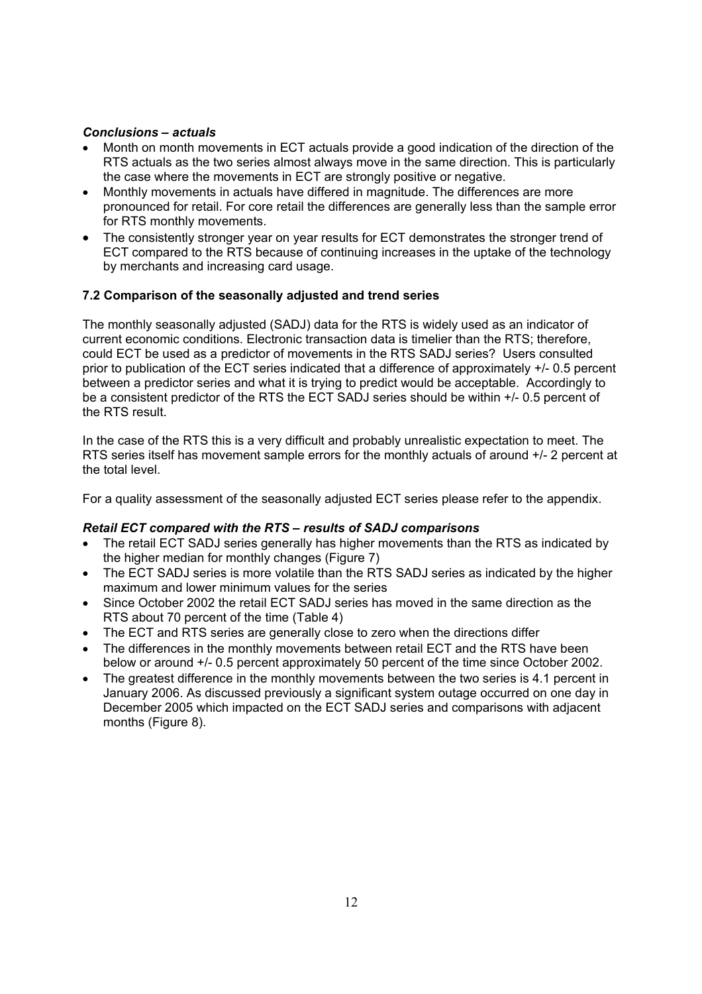### *Conclusions – actuals*

- Month on month movements in ECT actuals provide a good indication of the direction of the RTS actuals as the two series almost always move in the same direction. This is particularly the case where the movements in ECT are strongly positive or negative.
- Monthly movements in actuals have differed in magnitude. The differences are more pronounced for retail. For core retail the differences are generally less than the sample error for RTS monthly movements.
- The consistently stronger year on year results for ECT demonstrates the stronger trend of ECT compared to the RTS because of continuing increases in the uptake of the technology by merchants and increasing card usage.

# **7.2 Comparison of the seasonally adjusted and trend series**

The monthly seasonally adjusted (SADJ) data for the RTS is widely used as an indicator of current economic conditions. Electronic transaction data is timelier than the RTS; therefore, could ECT be used as a predictor of movements in the RTS SADJ series? Users consulted prior to publication of the ECT series indicated that a difference of approximately +/- 0.5 percent between a predictor series and what it is trying to predict would be acceptable. Accordingly to be a consistent predictor of the RTS the ECT SADJ series should be within +/- 0.5 percent of the RTS result.

In the case of the RTS this is a very difficult and probably unrealistic expectation to meet. The RTS series itself has movement sample errors for the monthly actuals of around  $+/-2$  percent at the total level.

For a quality assessment of the seasonally adjusted ECT series please refer to the appendix.

#### *Retail ECT compared with the RTS – results of SADJ comparisons*

- The retail ECT SADJ series generally has higher movements than the RTS as indicated by the higher median for monthly changes (Figure 7)
- The ECT SADJ series is more volatile than the RTS SADJ series as indicated by the higher maximum and lower minimum values for the series
- Since October 2002 the retail ECT SADJ series has moved in the same direction as the RTS about 70 percent of the time (Table 4)
- The ECT and RTS series are generally close to zero when the directions differ
- The differences in the monthly movements between retail ECT and the RTS have been below or around +/- 0.5 percent approximately 50 percent of the time since October 2002.
- The greatest difference in the monthly movements between the two series is 4.1 percent in January 2006. As discussed previously a significant system outage occurred on one day in December 2005 which impacted on the ECT SADJ series and comparisons with adjacent months (Figure 8).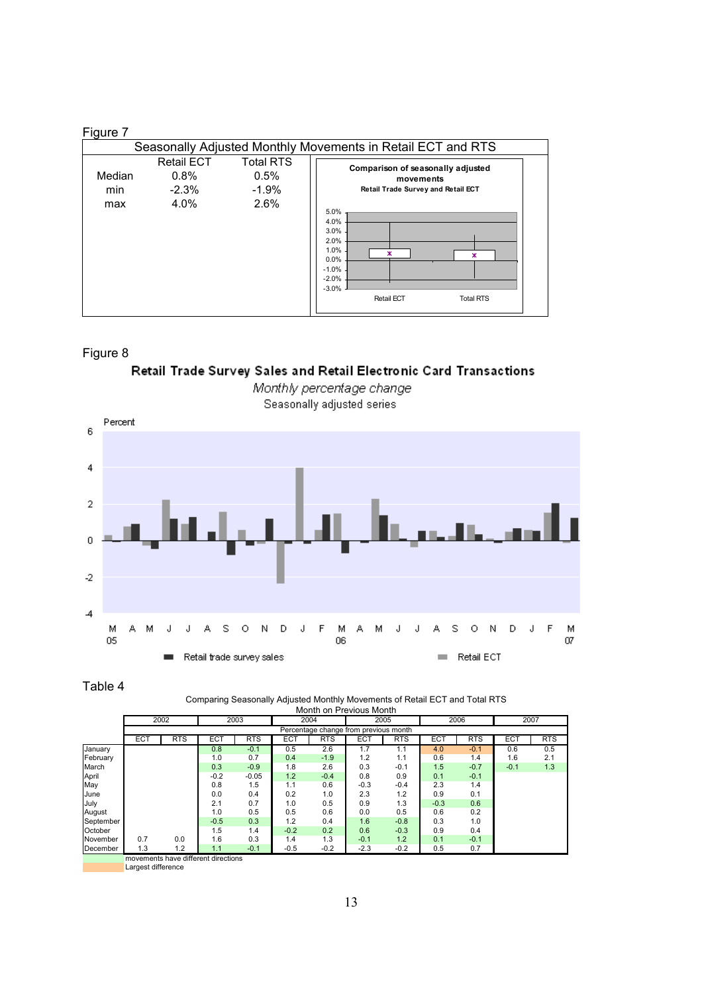#### Figure 7

|                      | Seasonally Adjusted Monthly Movements in Retail ECT and RTS |                                             |                                                                                                                                                                                                              |  |  |  |  |  |  |  |  |
|----------------------|-------------------------------------------------------------|---------------------------------------------|--------------------------------------------------------------------------------------------------------------------------------------------------------------------------------------------------------------|--|--|--|--|--|--|--|--|
| Median<br>min<br>max | <b>Retail ECT</b><br>0.8%<br>$-2.3%$<br>4.0%                | <b>Total RTS</b><br>0.5%<br>$-1.9%$<br>2.6% | Comparison of seasonally adjusted<br>movements<br>Retail Trade Survey and Retail ECT<br>5.0%<br>4.0%<br>3.0%<br>2.0%<br>1.0%<br>ж<br>0.0%<br>$-1.0%$<br>$-2.0%$<br>$-3.0%$<br>Retail ECT<br><b>Total RTS</b> |  |  |  |  |  |  |  |  |

### Figure 8

# Retail Trade Survey Sales and Retail Electronic Card Transactions



Monthly percentage change Seasonally adjusted series

Table 4

#### Comparing Seasonally Adjusted Monthly Movements of Retail ECT and Total RTS Month on Previous Month

|           |                 | 2002       |                                     | 2003       |            | 2004                                  |                  | 2005       |        | 2006       |            | 2007       |
|-----------|-----------------|------------|-------------------------------------|------------|------------|---------------------------------------|------------------|------------|--------|------------|------------|------------|
|           |                 |            |                                     |            |            | Percentage change from previous month |                  |            |        |            |            |            |
|           | EC <sub>1</sub> | <b>RTS</b> | EC <sub>1</sub>                     | <b>RTS</b> | <b>ECT</b> | <b>RTS</b>                            | ECT              | <b>RTS</b> | ECT    | <b>RTS</b> | <b>ECT</b> | <b>RTS</b> |
| January   |                 |            | 0.8                                 | $-0.1$     | 0.5        | 2.6                                   | $1.\overline{7}$ | 1.1        | 4.0    | $-0.1$     | 0.6        | 0.5        |
| February  |                 |            | 1.0                                 | 0.7        | 0.4        | $-1.9$                                | 1.2              | 1.1        | 0.6    | 1.4        | 1.6        | 2.1        |
| March     |                 |            | 0.3                                 | $-0.9$     | 1.8        | 2.6                                   | 0.3              | $-0.1$     | 1.5    | $-0.7$     | $-0.1$     | 1.3        |
| April     |                 |            | $-0.2$                              | $-0.05$    | 1.2        | $-0.4$                                | 0.8              | 0.9        | 0.1    | $-0.1$     |            |            |
| May       |                 |            | 0.8                                 | 1.5        | 1.1        | 0.6                                   | $-0.3$           | $-0.4$     | 2.3    | 1.4        |            |            |
| June      |                 |            | 0.0                                 | 0.4        | 0.2        | 1.0                                   | 2.3              | 1.2        | 0.9    | 0.1        |            |            |
| July      |                 |            | 2.1                                 | 0.7        | 1.0        | 0.5                                   | 0.9              | 1.3        | $-0.3$ | 0.6        |            |            |
| August    |                 |            | 1.0                                 | 0.5        | 0.5        | 0.6                                   | 0.0              | 0.5        | 0.6    | 0.2        |            |            |
| September |                 |            | $-0.5$                              | 0.3        | 1.2        | 0.4                                   | 1.6              | $-0.8$     | 0.3    | 1.0        |            |            |
| October   |                 |            | 1.5                                 | 1.4        | $-0.2$     | 0.2                                   | 0.6              | $-0.3$     | 0.9    | 0.4        |            |            |
| November  | 0.7             | 0.0        | 1.6                                 | 0.3        | 1.4        | 1.3                                   | $-0.1$           | 1.2        | 0.1    | $-0.1$     |            |            |
| December  | 1.3             | 1.2        | 1.1                                 | $-0.1$     | $-0.5$     | $-0.2$                                | $-2.3$           | $-0.2$     | 0.5    | 0.7        |            |            |
|           |                 |            | movements have different directions |            |            |                                       |                  |            |        |            |            |            |

Largest difference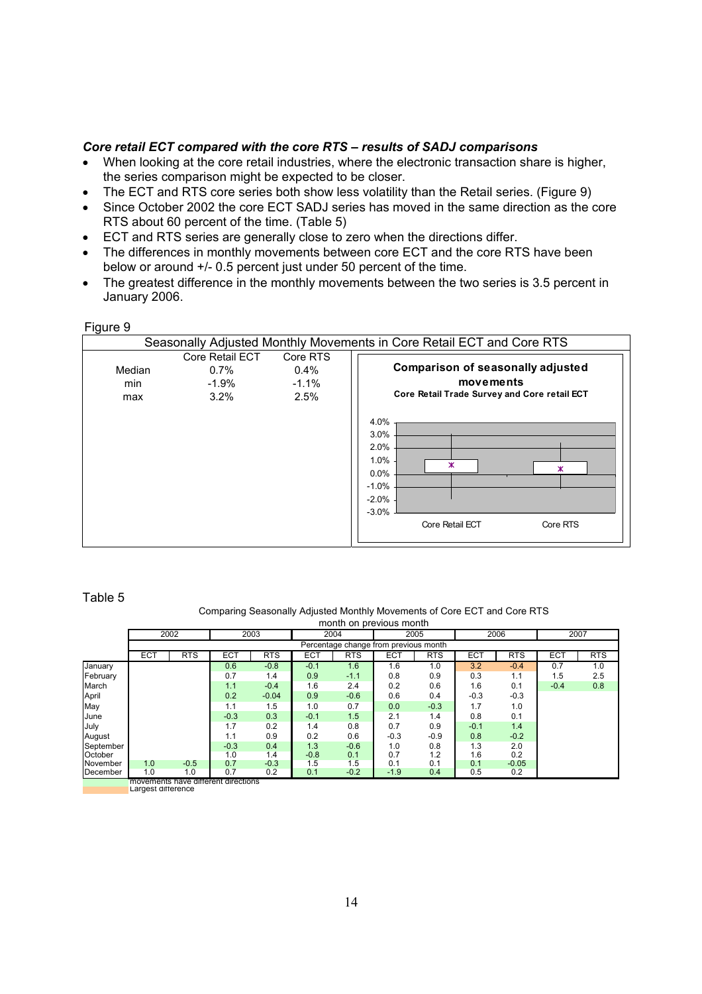#### *Core retail ECT compared with the core RTS – results of SADJ comparisons*

- When looking at the core retail industries, where the electronic transaction share is higher, the series comparison might be expected to be closer.
- The ECT and RTS core series both show less volatility than the Retail series. (Figure 9)
- Since October 2002 the core ECT SADJ series has moved in the same direction as the core RTS about 60 percent of the time. (Table 5)
- ECT and RTS series are generally close to zero when the directions differ.
- The differences in monthly movements between core ECT and the core RTS have been below or around +/- 0.5 percent just under 50 percent of the time.
- The greatest difference in the monthly movements between the two series is 3.5 percent in January 2006.

#### Figure 9

|                      |                                                  |                                         | Seasonally Adjusted Monthly Movements in Core Retail ECT and Core RTS                                                                                                                    |
|----------------------|--------------------------------------------------|-----------------------------------------|------------------------------------------------------------------------------------------------------------------------------------------------------------------------------------------|
| Median<br>min<br>max | Core Retail ECT<br>$0.7\%$<br>$-1.9%$<br>$3.2\%$ | Core RTS<br>$0.4\%$<br>$-1.1\%$<br>2.5% | <b>Comparison of seasonally adjusted</b><br>movements<br>Core Retail Trade Survey and Core retail ECT<br>4.0%<br>3.0%<br>2.0%<br>1.0%<br>ж<br>ж<br>0.0%<br>$-1.0%$<br>$-2.0%$<br>$-3.0%$ |
|                      |                                                  |                                         | Core Retail ECT<br>Core RTS                                                                                                                                                              |

#### Table 5

#### Comparing Seasonally Adjusted Monthly Movements of Core ECT and Core RTS

|           |              | month on previous month                    |            |            |              |                                       |        |            |        |            |        |            |  |  |
|-----------|--------------|--------------------------------------------|------------|------------|--------------|---------------------------------------|--------|------------|--------|------------|--------|------------|--|--|
|           | 2002<br>2003 |                                            |            |            | 2005<br>2004 |                                       | 2006   |            | 2007   |            |        |            |  |  |
|           |              |                                            |            |            |              | Percentage change from previous month |        |            |        |            |        |            |  |  |
|           | ECT          | <b>RTS</b>                                 | <b>ECT</b> | <b>RTS</b> | ECT          | <b>RTS</b>                            | ECT    | <b>RTS</b> | ECT    | <b>RTS</b> | ECT    | <b>RTS</b> |  |  |
| January   |              |                                            | 0.6        | $-0.8$     | $-0.1$       | 1.6                                   | 1.6    | 1.0        | 3.2    | $-0.4$     | 0.7    | 1.0        |  |  |
| February  |              |                                            | 0.7        | 1.4        | 0.9          | $-1.1$                                | 0.8    | 0.9        | 0.3    | 1.1        | 1.5    | 2.5        |  |  |
| March     |              |                                            | 1.1        | $-0.4$     | 1.6          | 2.4                                   | 0.2    | 0.6        | 1.6    | 0.1        | $-0.4$ | 0.8        |  |  |
| April     |              |                                            | 0.2        | $-0.04$    | 0.9          | $-0.6$                                | 0.6    | 0.4        | $-0.3$ | $-0.3$     |        |            |  |  |
| May       |              |                                            | 1.1        | 1.5        | 1.0          | 0.7                                   | 0.0    | $-0.3$     | 1.7    | 1.0        |        |            |  |  |
| June      |              |                                            | $-0.3$     | 0.3        | $-0.1$       | 1.5                                   | 2.1    | 1.4        | 0.8    | 0.1        |        |            |  |  |
| July      |              |                                            | 1.7        | 0.2        | 1.4          | 0.8                                   | 0.7    | 0.9        | $-0.1$ | 1.4        |        |            |  |  |
| August    |              |                                            | 1.1        | 0.9        | 0.2          | 0.6                                   | $-0.3$ | $-0.9$     | 0.8    | $-0.2$     |        |            |  |  |
| September |              |                                            | $-0.3$     | 0.4        | 1.3          | $-0.6$                                | 1.0    | 0.8        | 1.3    | 2.0        |        |            |  |  |
| October   |              |                                            | 1.0        | 1.4        | $-0.8$       | 0.1                                   | 0.7    | 1.2        | 1.6    | 0.2        |        |            |  |  |
| November  | 1.0          | $-0.5$                                     | 0.7        | $-0.3$     | 1.5          | 1.5                                   | 0.1    | 0.1        | 0.1    | $-0.05$    |        |            |  |  |
| December  | 1.0          | 1.0<br>movemente hove different directions | 0.7        | 0.2        | 0.1          | $-0.2$                                | $-1.9$ | 0.4        | 0.5    | 0.2        |        |            |  |  |

movements have different directions Largest difference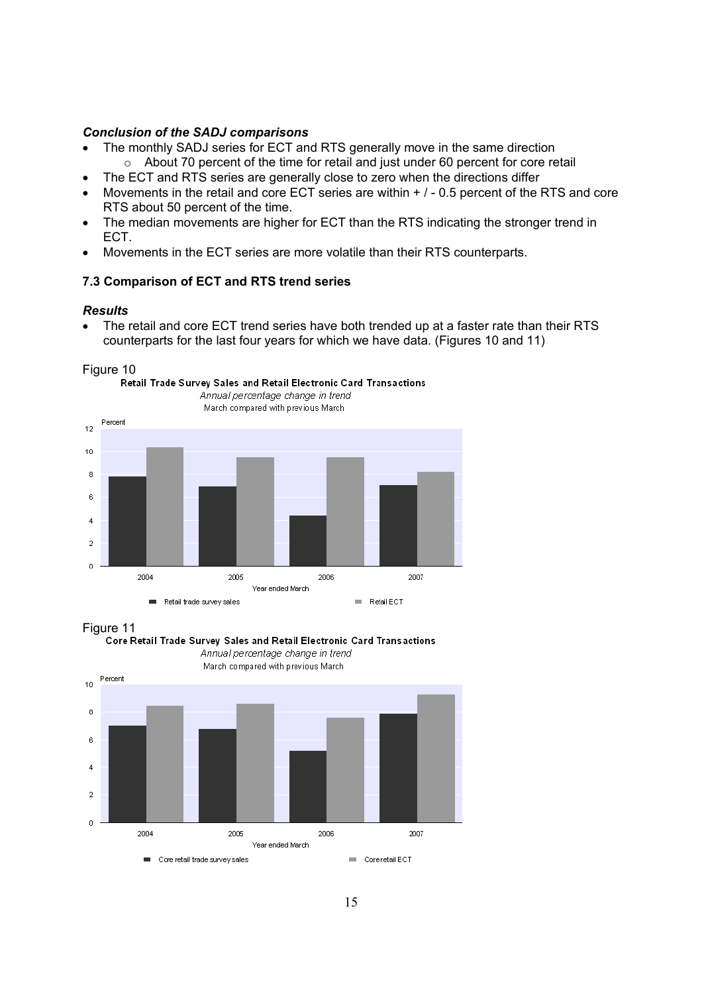#### *Conclusion of the SADJ comparisons*

- The monthly SADJ series for ECT and RTS generally move in the same direction  $\circ$  About 70 percent of the time for retail and just under 60 percent for core retail
- The ECT and RTS series are generally close to zero when the directions differ
- Movements in the retail and core ECT series are within  $+$   $/$  0.5 percent of the RTS and core RTS about 50 percent of the time.
- The median movements are higher for ECT than the RTS indicating the stronger trend in ECT.
- Movements in the ECT series are more volatile than their RTS counterparts.

#### **7.3 Comparison of ECT and RTS trend series**

#### *Results*

• The retail and core ECT trend series have both trended up at a faster rate than their RTS counterparts for the last four years for which we have data. (Figures 10 and 11)





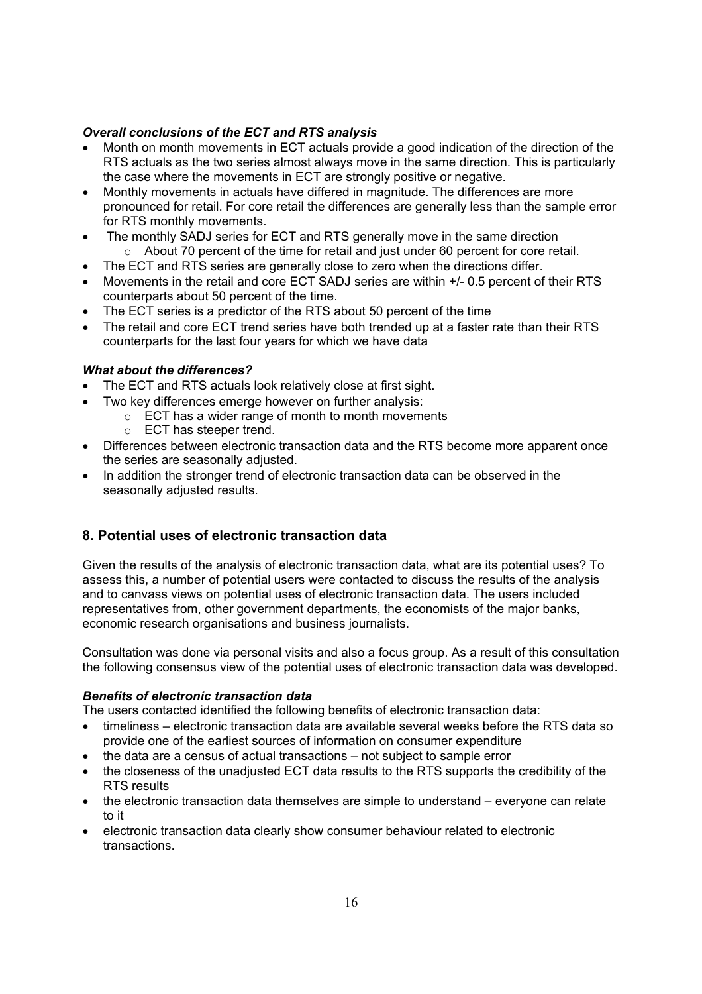# *Overall conclusions of the ECT and RTS analysis*

- Month on month movements in ECT actuals provide a good indication of the direction of the RTS actuals as the two series almost always move in the same direction. This is particularly the case where the movements in ECT are strongly positive or negative.
- Monthly movements in actuals have differed in magnitude. The differences are more pronounced for retail. For core retail the differences are generally less than the sample error for RTS monthly movements.
- The monthly SADJ series for ECT and RTS generally move in the same direction o About 70 percent of the time for retail and just under 60 percent for core retail.
- The ECT and RTS series are generally close to zero when the directions differ.
- Movements in the retail and core ECT SADJ series are within +/- 0.5 percent of their RTS counterparts about 50 percent of the time.
- The ECT series is a predictor of the RTS about 50 percent of the time
- The retail and core ECT trend series have both trended up at a faster rate than their RTS counterparts for the last four years for which we have data

# *What about the differences?*

- The ECT and RTS actuals look relatively close at first sight.
- Two key differences emerge however on further analysis:
	- o ECT has a wider range of month to month movements
	- o ECT has steeper trend.
- Differences between electronic transaction data and the RTS become more apparent once the series are seasonally adjusted.
- In addition the stronger trend of electronic transaction data can be observed in the seasonally adjusted results.

# **8. Potential uses of electronic transaction data**

Given the results of the analysis of electronic transaction data, what are its potential uses? To assess this, a number of potential users were contacted to discuss the results of the analysis and to canvass views on potential uses of electronic transaction data. The users included representatives from, other government departments, the economists of the major banks, economic research organisations and business journalists.

Consultation was done via personal visits and also a focus group. As a result of this consultation the following consensus view of the potential uses of electronic transaction data was developed.

# *Benefits of electronic transaction data*

The users contacted identified the following benefits of electronic transaction data:

- timeliness electronic transaction data are available several weeks before the RTS data so provide one of the earliest sources of information on consumer expenditure
- the data are a census of actual transactions not subject to sample error
- the closeness of the unadiusted ECT data results to the RTS supports the credibility of the RTS results
- the electronic transaction data themselves are simple to understand everyone can relate to it
- electronic transaction data clearly show consumer behaviour related to electronic transactions.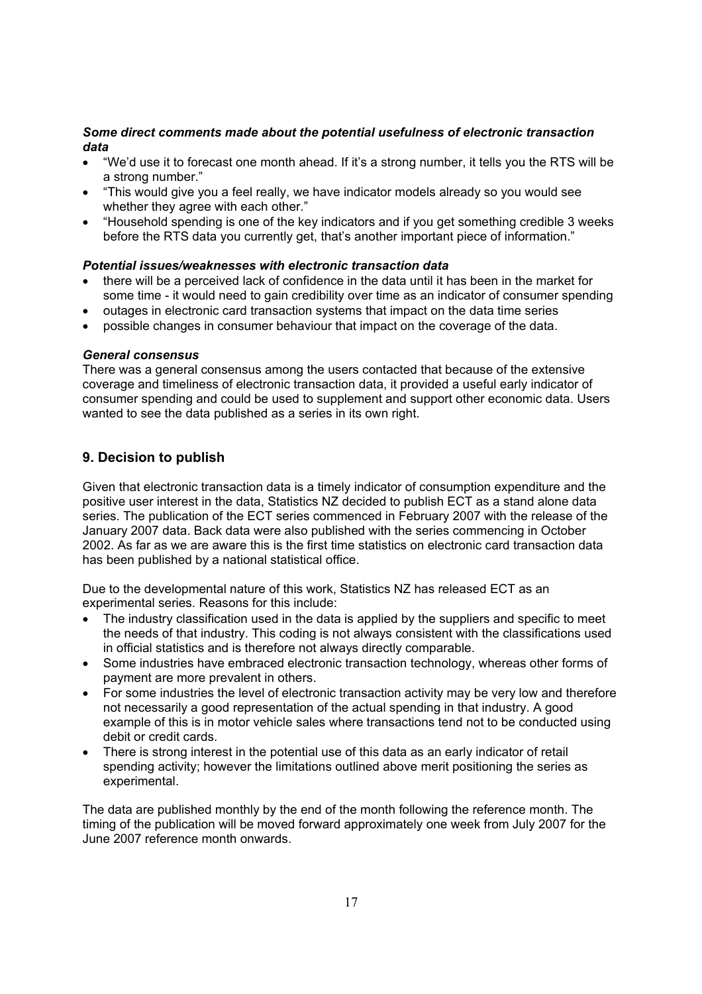### *Some direct comments made about the potential usefulness of electronic transaction data*

- "We'd use it to forecast one month ahead. If it's a strong number, it tells you the RTS will be a strong number."
- "This would give you a feel really, we have indicator models already so you would see whether they agree with each other."
- "Household spending is one of the key indicators and if you get something credible 3 weeks before the RTS data you currently get, that's another important piece of information."

### *Potential issues/weaknesses with electronic transaction data*

- there will be a perceived lack of confidence in the data until it has been in the market for some time - it would need to gain credibility over time as an indicator of consumer spending
- outages in electronic card transaction systems that impact on the data time series
- possible changes in consumer behaviour that impact on the coverage of the data.

### *General consensus*

There was a general consensus among the users contacted that because of the extensive coverage and timeliness of electronic transaction data, it provided a useful early indicator of consumer spending and could be used to supplement and support other economic data. Users wanted to see the data published as a series in its own right.

# **9. Decision to publish**

Given that electronic transaction data is a timely indicator of consumption expenditure and the positive user interest in the data, Statistics NZ decided to publish ECT as a stand alone data series. The publication of the ECT series commenced in February 2007 with the release of the January 2007 data. Back data were also published with the series commencing in October 2002. As far as we are aware this is the first time statistics on electronic card transaction data has been published by a national statistical office.

Due to the developmental nature of this work, Statistics NZ has released ECT as an experimental series. Reasons for this include:

- The industry classification used in the data is applied by the suppliers and specific to meet the needs of that industry. This coding is not always consistent with the classifications used in official statistics and is therefore not always directly comparable.
- Some industries have embraced electronic transaction technology, whereas other forms of payment are more prevalent in others.
- For some industries the level of electronic transaction activity may be very low and therefore not necessarily a good representation of the actual spending in that industry. A good example of this is in motor vehicle sales where transactions tend not to be conducted using debit or credit cards.
- There is strong interest in the potential use of this data as an early indicator of retail spending activity; however the limitations outlined above merit positioning the series as experimental.

The data are published monthly by the end of the month following the reference month. The timing of the publication will be moved forward approximately one week from July 2007 for the June 2007 reference month onwards.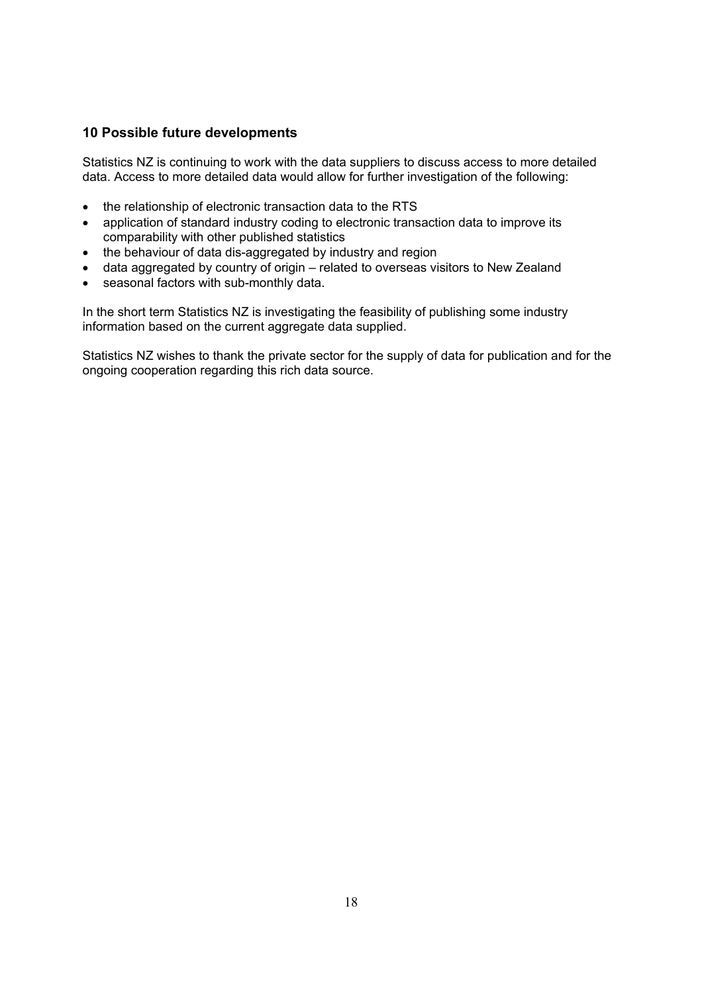# **10 Possible future developments**

Statistics NZ is continuing to work with the data suppliers to discuss access to more detailed data. Access to more detailed data would allow for further investigation of the following:

- the relationship of electronic transaction data to the RTS
- application of standard industry coding to electronic transaction data to improve its comparability with other published statistics
- the behaviour of data dis-aggregated by industry and region
- data aggregated by country of origin related to overseas visitors to New Zealand
- seasonal factors with sub-monthly data.

In the short term Statistics NZ is investigating the feasibility of publishing some industry information based on the current aggregate data supplied.

Statistics NZ wishes to thank the private sector for the supply of data for publication and for the ongoing cooperation regarding this rich data source.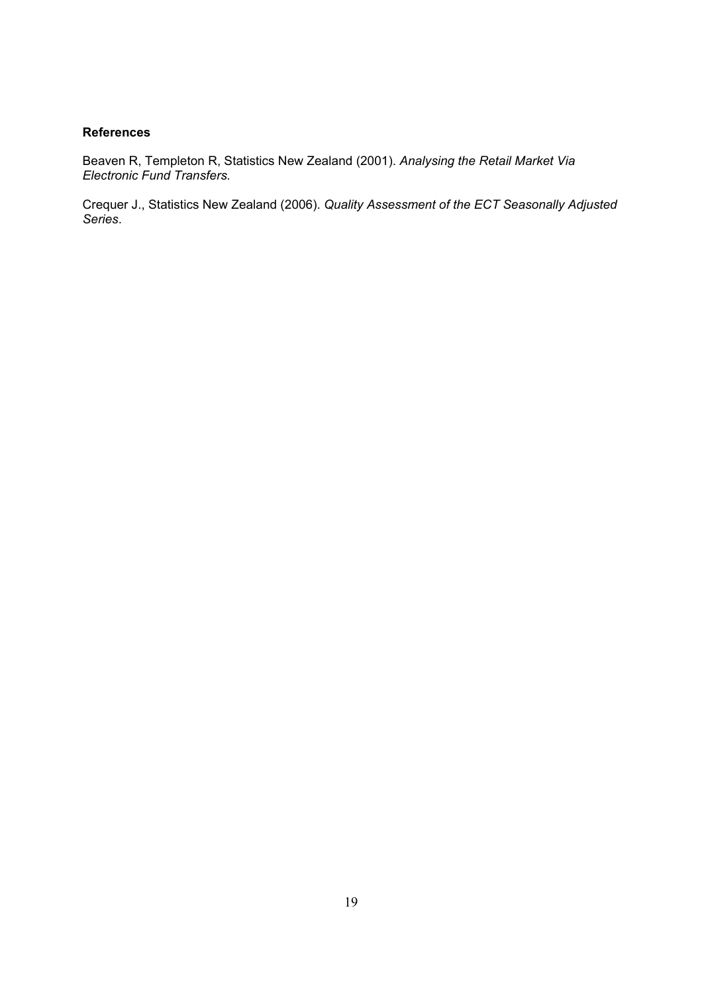#### **References**

Beaven R, Templeton R, Statistics New Zealand (2001). *Analysing the Retail Market Via Electronic Fund Transfers.* 

Crequer J., Statistics New Zealand (2006). *Quality Assessment of the ECT Seasonally Adjusted Series*.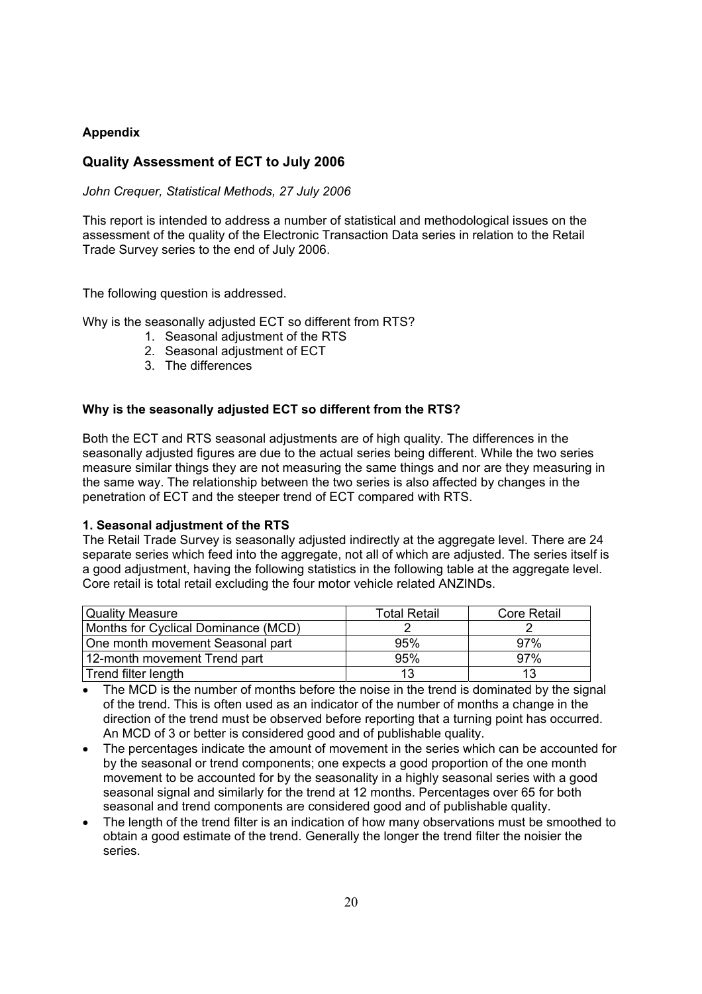# **Appendix**

# **Quality Assessment of ECT to July 2006**

*John Crequer, Statistical Methods, 27 July 2006* 

This report is intended to address a number of statistical and methodological issues on the assessment of the quality of the Electronic Transaction Data series in relation to the Retail Trade Survey series to the end of July 2006.

The following question is addressed.

Why is the seasonally adjusted ECT so different from RTS?

- 1. Seasonal adjustment of the RTS
- 2. Seasonal adjustment of ECT
- 3. The differences

### **Why is the seasonally adjusted ECT so different from the RTS?**

Both the ECT and RTS seasonal adjustments are of high quality. The differences in the seasonally adjusted figures are due to the actual series being different. While the two series measure similar things they are not measuring the same things and nor are they measuring in the same way. The relationship between the two series is also affected by changes in the penetration of ECT and the steeper trend of ECT compared with RTS.

#### **1. Seasonal adjustment of the RTS**

The Retail Trade Survey is seasonally adjusted indirectly at the aggregate level. There are 24 separate series which feed into the aggregate, not all of which are adjusted. The series itself is a good adjustment, having the following statistics in the following table at the aggregate level. Core retail is total retail excluding the four motor vehicle related ANZINDs.

| <b>Quality Measure</b>              | <b>Total Retail</b> | Core Retail |
|-------------------------------------|---------------------|-------------|
| Months for Cyclical Dominance (MCD) |                     |             |
| One month movement Seasonal part    | 95%                 | 97%         |
| 12-month movement Trend part        | 95%                 | 97%         |
| Trend filter length                 |                     |             |

- The MCD is the number of months before the noise in the trend is dominated by the signal of the trend. This is often used as an indicator of the number of months a change in the direction of the trend must be observed before reporting that a turning point has occurred. An MCD of 3 or better is considered good and of publishable quality.
- The percentages indicate the amount of movement in the series which can be accounted for by the seasonal or trend components; one expects a good proportion of the one month movement to be accounted for by the seasonality in a highly seasonal series with a good seasonal signal and similarly for the trend at 12 months. Percentages over 65 for both seasonal and trend components are considered good and of publishable quality.
- The length of the trend filter is an indication of how many observations must be smoothed to obtain a good estimate of the trend. Generally the longer the trend filter the noisier the series.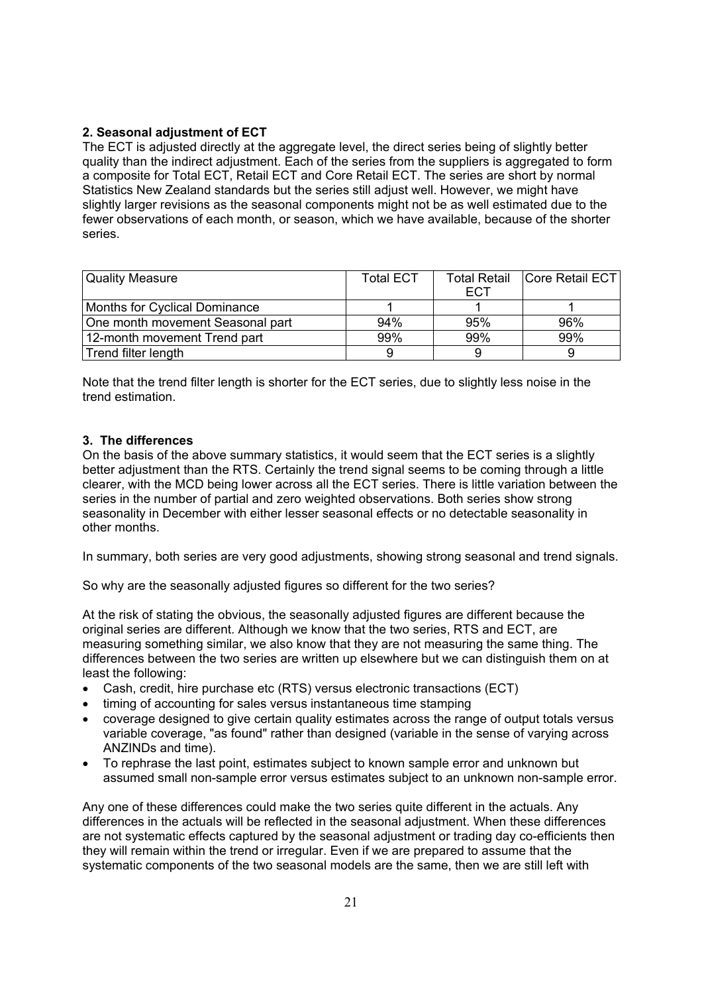# **2. Seasonal adjustment of ECT**

The ECT is adjusted directly at the aggregate level, the direct series being of slightly better quality than the indirect adjustment. Each of the series from the suppliers is aggregated to form a composite for Total ECT, Retail ECT and Core Retail ECT. The series are short by normal Statistics New Zealand standards but the series still adjust well. However, we might have slightly larger revisions as the seasonal components might not be as well estimated due to the fewer observations of each month, or season, which we have available, because of the shorter series.

| <b>Quality Measure</b>           | <b>Total ECT</b> | <b>Total Retail</b> | <b>Core Retail ECTI</b> |
|----------------------------------|------------------|---------------------|-------------------------|
|                                  |                  | ECT                 |                         |
| Months for Cyclical Dominance    |                  |                     |                         |
| One month movement Seasonal part | 94%              | 95%                 | 96%                     |
| 12-month movement Trend part     | 99%              | 99%                 | 99%                     |
| Trend filter length              |                  |                     |                         |

Note that the trend filter length is shorter for the ECT series, due to slightly less noise in the trend estimation.

### **3. The differences**

On the basis of the above summary statistics, it would seem that the ECT series is a slightly better adjustment than the RTS. Certainly the trend signal seems to be coming through a little clearer, with the MCD being lower across all the ECT series. There is little variation between the series in the number of partial and zero weighted observations. Both series show strong seasonality in December with either lesser seasonal effects or no detectable seasonality in other months.

In summary, both series are very good adjustments, showing strong seasonal and trend signals.

So why are the seasonally adjusted figures so different for the two series?

At the risk of stating the obvious, the seasonally adjusted figures are different because the original series are different. Although we know that the two series, RTS and ECT, are measuring something similar, we also know that they are not measuring the same thing. The differences between the two series are written up elsewhere but we can distinguish them on at least the following:

- Cash, credit, hire purchase etc (RTS) versus electronic transactions (ECT)
- timing of accounting for sales versus instantaneous time stamping
- coverage designed to give certain quality estimates across the range of output totals versus variable coverage, "as found" rather than designed (variable in the sense of varying across ANZINDs and time).
- To rephrase the last point, estimates subject to known sample error and unknown but assumed small non-sample error versus estimates subject to an unknown non-sample error.

Any one of these differences could make the two series quite different in the actuals. Any differences in the actuals will be reflected in the seasonal adjustment. When these differences are not systematic effects captured by the seasonal adjustment or trading day co-efficients then they will remain within the trend or irregular. Even if we are prepared to assume that the systematic components of the two seasonal models are the same, then we are still left with